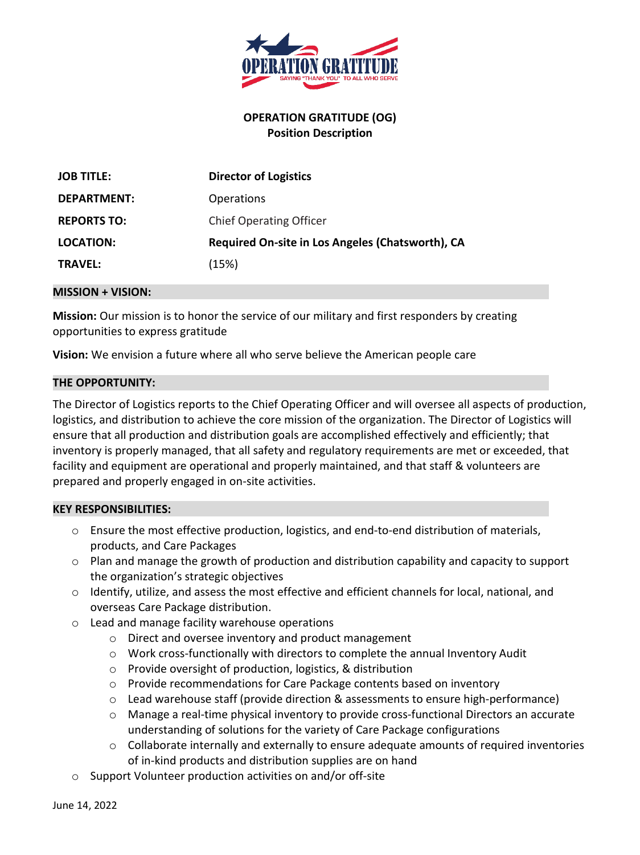

# **OPERATION GRATITUDE (OG) Position Description**

| <b>JOB TITLE:</b>  | <b>Director of Logistics</b>                     |
|--------------------|--------------------------------------------------|
| DEPARTMENT:        | <b>Operations</b>                                |
| <b>REPORTS TO:</b> | <b>Chief Operating Officer</b>                   |
| LOCATION:          | Required On-site in Los Angeles (Chatsworth), CA |
| <b>TRAVEL:</b>     | (15%)                                            |

#### **MISSION + VISION:**

**Mission:** Our mission is to honor the service of our military and first responders by creating opportunities to express gratitude

**Vision:** We envision a future where all who serve believe the American people care

### **THE OPPORTUNITY:**

The Director of Logistics reports to the Chief Operating Officer and will oversee all aspects of production, logistics, and distribution to achieve the core mission of the organization. The Director of Logistics will ensure that all production and distribution goals are accomplished effectively and efficiently; that inventory is properly managed, that all safety and regulatory requirements are met or exceeded, that facility and equipment are operational and properly maintained, and that staff & volunteers are prepared and properly engaged in on-site activities.

### **KEY RESPONSIBILITIES:**

- $\circ$  Ensure the most effective production, logistics, and end-to-end distribution of materials, products, and Care Packages
- o Plan and manage the growth of production and distribution capability and capacity to support the organization's strategic objectives
- o Identify, utilize, and assess the most effective and efficient channels for local, national, and overseas Care Package distribution.
- o Lead and manage facility warehouse operations
	- o Direct and oversee inventory and product management
	- o Work cross-functionally with directors to complete the annual Inventory Audit
	- o Provide oversight of production, logistics, & distribution
	- o Provide recommendations for Care Package contents based on inventory
	- o Lead warehouse staff (provide direction & assessments to ensure high-performance)
	- o Manage a real-time physical inventory to provide cross-functional Directors an accurate understanding of solutions for the variety of Care Package configurations
	- o Collaborate internally and externally to ensure adequate amounts of required inventories of in-kind products and distribution supplies are on hand
- o Support Volunteer production activities on and/or off-site